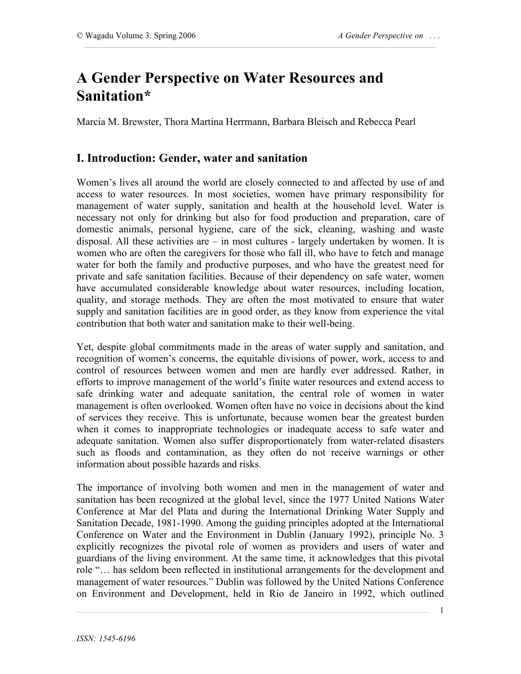# **A Gender Perspective on Water Resources and Sanitation\***

Marcia M. Brewster, Thora Martina Herrmann, Barbara Bleisch and Rebecca Pearl

# **I. Introduction: Gender, water and sanitation**

Women's lives all around the world are closely connected to and affected by use of and access to water resources. In most societies, women have primary responsibility for management of water supply, sanitation and health at the household level. Water is necessary not only for drinking but also for food production and preparation, care of domestic animals, personal hygiene, care of the sick, cleaning, washing and waste disposal. All these activities are – in most cultures - largely undertaken by women. It is women who are often the caregivers for those who fall ill, who have to fetch and manage water for both the family and productive purposes, and who have the greatest need for private and safe sanitation facilities. Because of their dependency on safe water, women have accumulated considerable knowledge about water resources, including location, quality, and storage methods. They are often the most motivated to ensure that water supply and sanitation facilities are in good order, as they know from experience the vital contribution that both water and sanitation make to their well-being.

Yet, despite global commitments made in the areas of water supply and sanitation, and recognition of women's concerns, the equitable divisions of power, work, access to and control of resources between women and men are hardly ever addressed. Rather, in efforts to improve management of the world's finite water resources and extend access to safe drinking water and adequate sanitation, the central role of women in water management is often overlooked. Women often have no voice in decisions about the kind of services they receive. This is unfortunate, because women bear the greatest burden when it comes to inappropriate technologies or inadequate access to safe water and adequate sanitation. Women also suffer disproportionately from water-related disasters such as floods and contamination, as they often do not receive warnings or other information about possible hazards and risks.

The importance of involving both women and men in the management of water and sanitation has been recognized at the global level, since the 1977 United Nations Water Conference at Mar del Plata and during the International Drinking Water Supply and Sanitation Decade, 1981-1990. Among the guiding principles adopted at the International Conference on Water and the Environment in Dublin (January 1992), principle No. 3 explicitly recognizes the pivotal role of women as providers and users of water and guardians of the living environment. At the same time, it acknowledges that this pivotal role "… has seldom been reflected in institutional arrangements for the development and management of water resources." Dublin was followed by the United Nations Conference on Environment and Development, held in Rio de Janeiro in 1992, which outlined

1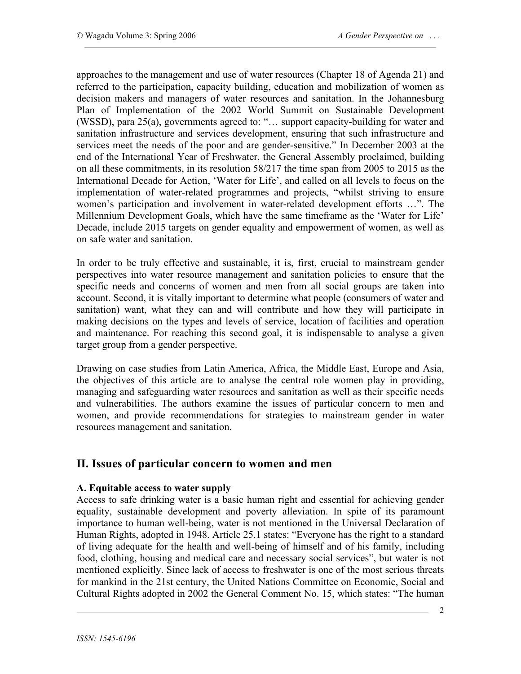approaches to the management and use of water resources (Chapter 18 of Agenda 21) and referred to the participation, capacity building, education and mobilization of women as decision makers and managers of water resources and sanitation. In the Johannesburg Plan of Implementation of the 2002 World Summit on Sustainable Development (WSSD), para 25(a), governments agreed to: "… support capacity-building for water and sanitation infrastructure and services development, ensuring that such infrastructure and services meet the needs of the poor and are gender-sensitive." In December 2003 at the end of the International Year of Freshwater, the General Assembly proclaimed, building on all these commitments, in its resolution 58/217 the time span from 2005 to 2015 as the International Decade for Action, 'Water for Life', and called on all levels to focus on the implementation of water-related programmes and projects, "whilst striving to ensure women's participation and involvement in water-related development efforts …". The Millennium Development Goals, which have the same timeframe as the 'Water for Life' Decade, include 2015 targets on gender equality and empowerment of women, as well as on safe water and sanitation.

In order to be truly effective and sustainable, it is, first, crucial to mainstream gender perspectives into water resource management and sanitation policies to ensure that the specific needs and concerns of women and men from all social groups are taken into account. Second, it is vitally important to determine what people (consumers of water and sanitation) want, what they can and will contribute and how they will participate in making decisions on the types and levels of service, location of facilities and operation and maintenance. For reaching this second goal, it is indispensable to analyse a given target group from a gender perspective.

Drawing on case studies from Latin America, Africa, the Middle East, Europe and Asia, the objectives of this article are to analyse the central role women play in providing, managing and safeguarding water resources and sanitation as well as their specific needs and vulnerabilities. The authors examine the issues of particular concern to men and women, and provide recommendations for strategies to mainstream gender in water resources management and sanitation.

# **II. Issues of particular concern to women and men**

## **A. Equitable access to water supply**

Access to safe drinking water is a basic human right and essential for achieving gender equality, sustainable development and poverty alleviation. In spite of its paramount importance to human well-being, water is not mentioned in the Universal Declaration of Human Rights, adopted in 1948. Article 25.1 states: "Everyone has the right to a standard of living adequate for the health and well-being of himself and of his family, including food, clothing, housing and medical care and necessary social services", but water is not mentioned explicitly. Since lack of access to freshwater is one of the most serious threats for mankind in the 21st century, the United Nations Committee on Economic, Social and Cultural Rights adopted in 2002 the General Comment No. 15, which states: "The human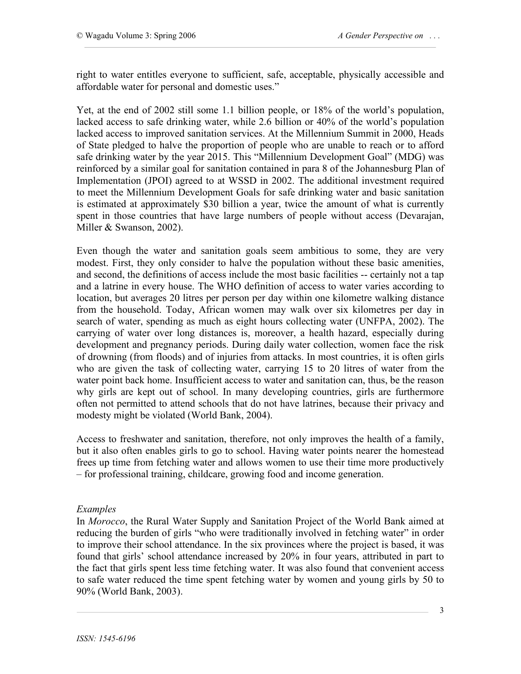right to water entitles everyone to sufficient, safe, acceptable, physically accessible and affordable water for personal and domestic uses."

Yet, at the end of 2002 still some 1.1 billion people, or 18% of the world's population, lacked access to safe drinking water, while 2.6 billion or 40% of the world's population lacked access to improved sanitation services. At the Millennium Summit in 2000, Heads of State pledged to halve the proportion of people who are unable to reach or to afford safe drinking water by the year 2015. This "Millennium Development Goal" (MDG) was reinforced by a similar goal for sanitation contained in para 8 of the Johannesburg Plan of Implementation (JPOI) agreed to at WSSD in 2002. The additional investment required to meet the Millennium Development Goals for safe drinking water and basic sanitation is estimated at approximately \$30 billion a year, twice the amount of what is currently spent in those countries that have large numbers of people without access (Devarajan, Miller & Swanson, 2002).

Even though the water and sanitation goals seem ambitious to some, they are very modest. First, they only consider to halve the population without these basic amenities, and second, the definitions of access include the most basic facilities -- certainly not a tap and a latrine in every house. The WHO definition of access to water varies according to location, but averages 20 litres per person per day within one kilometre walking distance from the household. Today, African women may walk over six kilometres per day in search of water, spending as much as eight hours collecting water (UNFPA, 2002). The carrying of water over long distances is, moreover, a health hazard, especially during development and pregnancy periods. During daily water collection, women face the risk of drowning (from floods) and of injuries from attacks. In most countries, it is often girls who are given the task of collecting water, carrying 15 to 20 litres of water from the water point back home. Insufficient access to water and sanitation can, thus, be the reason why girls are kept out of school. In many developing countries, girls are furthermore often not permitted to attend schools that do not have latrines, because their privacy and modesty might be violated (World Bank, 2004).

Access to freshwater and sanitation, therefore, not only improves the health of a family, but it also often enables girls to go to school. Having water points nearer the homestead frees up time from fetching water and allows women to use their time more productively – for professional training, childcare, growing food and income generation.

#### *Examples*

In *Morocco*, the Rural Water Supply and Sanitation Project of the World Bank aimed at reducing the burden of girls "who were traditionally involved in fetching water" in order to improve their school attendance. In the six provinces where the project is based, it was found that girls' school attendance increased by 20% in four years, attributed in part to the fact that girls spent less time fetching water. It was also found that convenient access to safe water reduced the time spent fetching water by women and young girls by 50 to 90% (World Bank, 2003).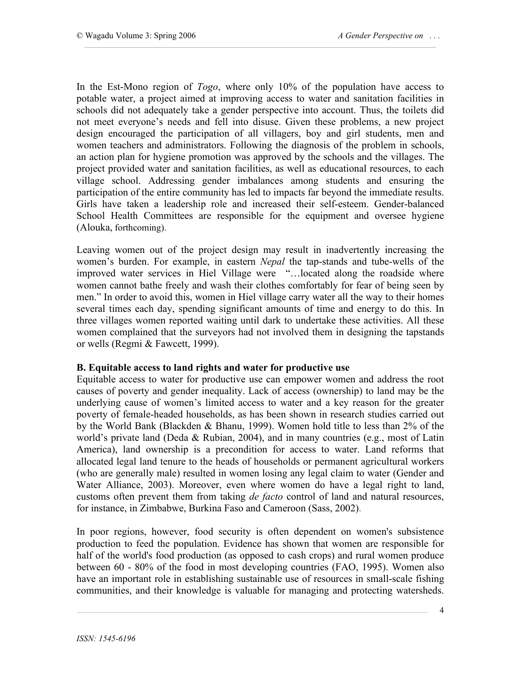In the Est-Mono region of *Togo*, where only 10% of the population have access to potable water, a project aimed at improving access to water and sanitation facilities in schools did not adequately take a gender perspective into account. Thus, the toilets did not meet everyone's needs and fell into disuse. Given these problems, a new project design encouraged the participation of all villagers, boy and girl students, men and women teachers and administrators. Following the diagnosis of the problem in schools, an action plan for hygiene promotion was approved by the schools and the villages. The project provided water and sanitation facilities, as well as educational resources, to each village school. Addressing gender imbalances among students and ensuring the participation of the entire community has led to impacts far beyond the immediate results. Girls have taken a leadership role and increased their self-esteem. Gender-balanced School Health Committees are responsible for the equipment and oversee hygiene (Alouka, forthcoming).

Leaving women out of the project design may result in inadvertently increasing the women's burden. For example, in eastern *Nepal* the tap-stands and tube-wells of the improved water services in Hiel Village were "…located along the roadside where women cannot bathe freely and wash their clothes comfortably for fear of being seen by men." In order to avoid this, women in Hiel village carry water all the way to their homes several times each day, spending significant amounts of time and energy to do this. In three villages women reported waiting until dark to undertake these activities. All these women complained that the surveyors had not involved them in designing the tapstands or wells (Regmi & Fawcett, 1999).

#### **B. Equitable access to land rights and water for productive use**

Equitable access to water for productive use can empower women and address the root causes of poverty and gender inequality. Lack of access (ownership) to land may be the underlying cause of women's limited access to water and a key reason for the greater poverty of female-headed households, as has been shown in research studies carried out by the World Bank (Blackden & Bhanu, 1999). Women hold title to less than 2% of the world's private land (Deda & Rubian, 2004), and in many countries (e.g., most of Latin America), land ownership is a precondition for access to water. Land reforms that allocated legal land tenure to the heads of households or permanent agricultural workers (who are generally male) resulted in women losing any legal claim to water (Gender and Water Alliance, 2003). Moreover, even where women do have a legal right to land, customs often prevent them from taking *de facto* control of land and natural resources, for instance, in Zimbabwe, Burkina Faso and Cameroon (Sass, 2002).

In poor regions, however, food security is often dependent on women's subsistence production to feed the population. Evidence has shown that women are responsible for half of the world's food production (as opposed to cash crops) and rural women produce between 60 - 80% of the food in most developing countries (FAO, 1995). Women also have an important role in establishing sustainable use of resources in small-scale fishing communities, and their knowledge is valuable for managing and protecting watersheds.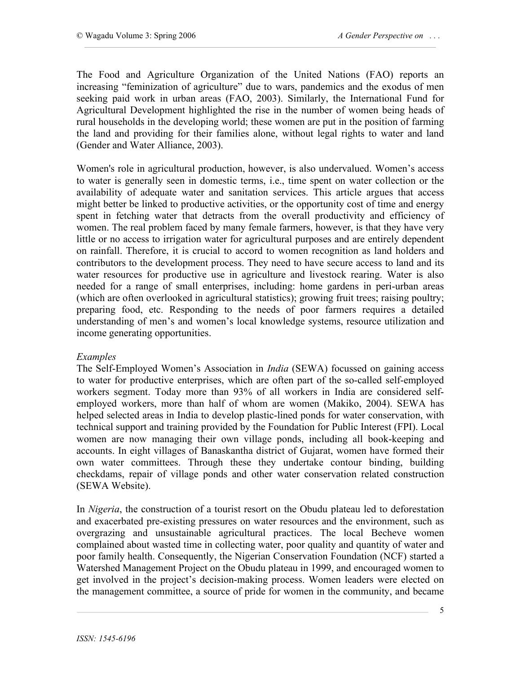The Food and Agriculture Organization of the United Nations (FAO) reports an increasing "feminization of agriculture" due to wars, pandemics and the exodus of men seeking paid work in urban areas (FAO, 2003). Similarly, the International Fund for Agricultural Development highlighted the rise in the number of women being heads of rural households in the developing world; these women are put in the position of farming the land and providing for their families alone, without legal rights to water and land (Gender and Water Alliance, 2003).

Women's role in agricultural production, however, is also undervalued. Women's access to water is generally seen in domestic terms, i.e., time spent on water collection or the availability of adequate water and sanitation services. This article argues that access might better be linked to productive activities, or the opportunity cost of time and energy spent in fetching water that detracts from the overall productivity and efficiency of women. The real problem faced by many female farmers, however, is that they have very little or no access to irrigation water for agricultural purposes and are entirely dependent on rainfall. Therefore, it is crucial to accord to women recognition as land holders and contributors to the development process. They need to have secure access to land and its water resources for productive use in agriculture and livestock rearing. Water is also needed for a range of small enterprises, including: home gardens in peri-urban areas (which are often overlooked in agricultural statistics); growing fruit trees; raising poultry; preparing food, etc. Responding to the needs of poor farmers requires a detailed understanding of men's and women's local knowledge systems, resource utilization and income generating opportunities.

#### *Examples*

The Self-Employed Women's Association in *India* (SEWA) focussed on gaining access to water for productive enterprises, which are often part of the so-called self-employed workers segment. Today more than 93% of all workers in India are considered selfemployed workers, more than half of whom are women (Makiko, 2004). SEWA has helped selected areas in India to develop plastic-lined ponds for water conservation, with technical support and training provided by the Foundation for Public Interest (FPI). Local women are now managing their own village ponds, including all book-keeping and accounts. In eight villages of Banaskantha district of Gujarat, women have formed their own water committees. Through these they undertake contour binding, building checkdams, repair of village ponds and other water conservation related construction (SEWA Website).

In *Nigeria*, the construction of a tourist resort on the Obudu plateau led to deforestation and exacerbated pre-existing pressures on water resources and the environment, such as overgrazing and unsustainable agricultural practices. The local Becheve women complained about wasted time in collecting water, poor quality and quantity of water and poor family health. Consequently, the Nigerian Conservation Foundation (NCF) started a Watershed Management Project on the Obudu plateau in 1999, and encouraged women to get involved in the project's decision-making process. Women leaders were elected on the management committee, a source of pride for women in the community, and became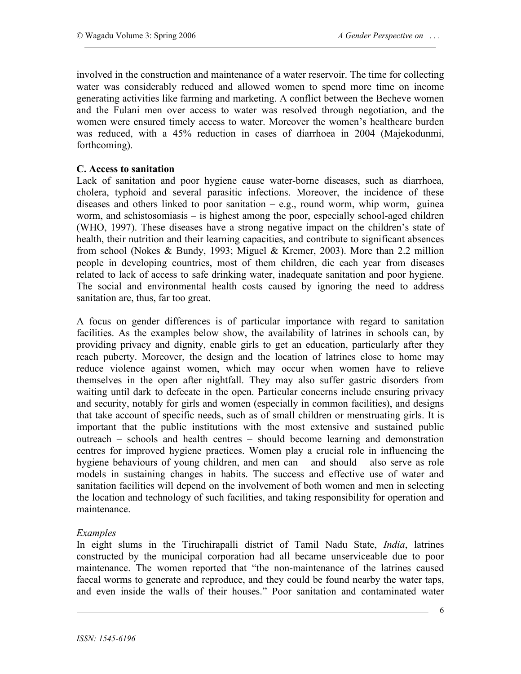involved in the construction and maintenance of a water reservoir. The time for collecting water was considerably reduced and allowed women to spend more time on income generating activities like farming and marketing. A conflict between the Becheve women and the Fulani men over access to water was resolved through negotiation, and the women were ensured timely access to water. Moreover the women's healthcare burden was reduced, with a 45% reduction in cases of diarrhoea in 2004 (Majekodunmi, forthcoming).

#### **C. Access to sanitation**

Lack of sanitation and poor hygiene cause water-borne diseases, such as diarrhoea, cholera, typhoid and several parasitic infections. Moreover, the incidence of these diseases and others linked to poor sanitation  $-$  e.g., round worm, whip worm, guinea worm, and schistosomiasis – is highest among the poor, especially school-aged children (WHO, 1997). These diseases have a strong negative impact on the children's state of health, their nutrition and their learning capacities, and contribute to significant absences from school (Nokes & Bundy, 1993; Miguel & Kremer, 2003). More than 2.2 million people in developing countries, most of them children, die each year from diseases related to lack of access to safe drinking water, inadequate sanitation and poor hygiene. The social and environmental health costs caused by ignoring the need to address sanitation are, thus, far too great.

A focus on gender differences is of particular importance with regard to sanitation facilities. As the examples below show, the availability of latrines in schools can, by providing privacy and dignity, enable girls to get an education, particularly after they reach puberty. Moreover, the design and the location of latrines close to home may reduce violence against women, which may occur when women have to relieve themselves in the open after nightfall. They may also suffer gastric disorders from waiting until dark to defecate in the open. Particular concerns include ensuring privacy and security, notably for girls and women (especially in common facilities), and designs that take account of specific needs, such as of small children or menstruating girls. It is important that the public institutions with the most extensive and sustained public outreach – schools and health centres – should become learning and demonstration centres for improved hygiene practices. Women play a crucial role in influencing the hygiene behaviours of young children, and men can – and should – also serve as role models in sustaining changes in habits. The success and effective use of water and sanitation facilities will depend on the involvement of both women and men in selecting the location and technology of such facilities, and taking responsibility for operation and maintenance.

## *Examples*

In eight slums in the Tiruchirapalli district of Tamil Nadu State, *India*, latrines constructed by the municipal corporation had all became unserviceable due to poor maintenance. The women reported that "the non-maintenance of the latrines caused faecal worms to generate and reproduce, and they could be found nearby the water taps, and even inside the walls of their houses." Poor sanitation and contaminated water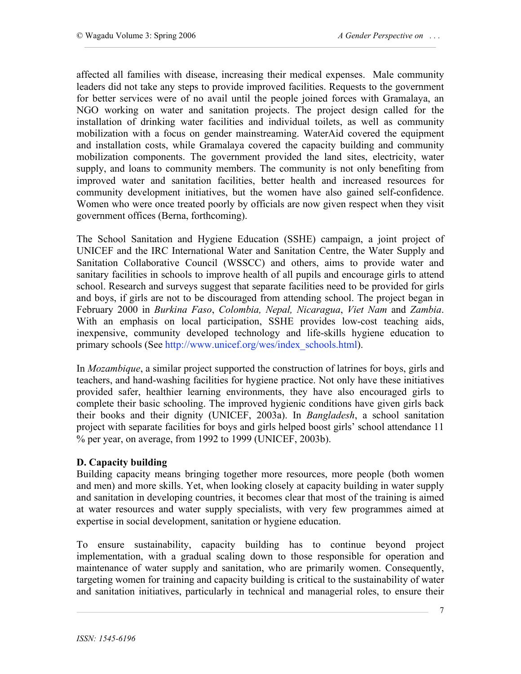affected all families with disease, increasing their medical expenses. Male community leaders did not take any steps to provide improved facilities. Requests to the government for better services were of no avail until the people joined forces with Gramalaya, an NGO working on water and sanitation projects. The project design called for the installation of drinking water facilities and individual toilets, as well as community mobilization with a focus on gender mainstreaming. WaterAid covered the equipment and installation costs, while Gramalaya covered the capacity building and community mobilization components. The government provided the land sites, electricity, water supply, and loans to community members. The community is not only benefiting from improved water and sanitation facilities, better health and increased resources for community development initiatives, but the women have also gained self-confidence. Women who were once treated poorly by officials are now given respect when they visit government offices (Berna, forthcoming).

The School Sanitation and Hygiene Education (SSHE) campaign, a joint project of UNICEF and the IRC International Water and Sanitation Centre, the Water Supply and Sanitation Collaborative Council (WSSCC) and others, aims to provide water and sanitary facilities in schools to improve health of all pupils and encourage girls to attend school. Research and surveys suggest that separate facilities need to be provided for girls and boys, if girls are not to be discouraged from attending school. The project began in February 2000 in *Burkina Faso*, *Colombia, Nepal, Nicaragua*, *Viet Nam* and *Zambia*. With an emphasis on local participation, SSHE provides low-cost teaching aids, inexpensive, community developed technology and life-skills hygiene education to primary schools (See http://www.unicef.org/wes/index\_schools.html).

In *Mozambique*, a similar project supported the construction of latrines for boys, girls and teachers, and hand-washing facilities for hygiene practice. Not only have these initiatives provided safer, healthier learning environments, they have also encouraged girls to complete their basic schooling. The improved hygienic conditions have given girls back their books and their dignity (UNICEF, 2003a). In *Bangladesh*, a school sanitation project with separate facilities for boys and girls helped boost girls' school attendance 11 % per year, on average, from 1992 to 1999 (UNICEF, 2003b).

## **D. Capacity building**

Building capacity means bringing together more resources, more people (both women and men) and more skills. Yet, when looking closely at capacity building in water supply and sanitation in developing countries, it becomes clear that most of the training is aimed at water resources and water supply specialists, with very few programmes aimed at expertise in social development, sanitation or hygiene education.

To ensure sustainability, capacity building has to continue beyond project implementation, with a gradual scaling down to those responsible for operation and maintenance of water supply and sanitation, who are primarily women. Consequently, targeting women for training and capacity building is critical to the sustainability of water and sanitation initiatives, particularly in technical and managerial roles, to ensure their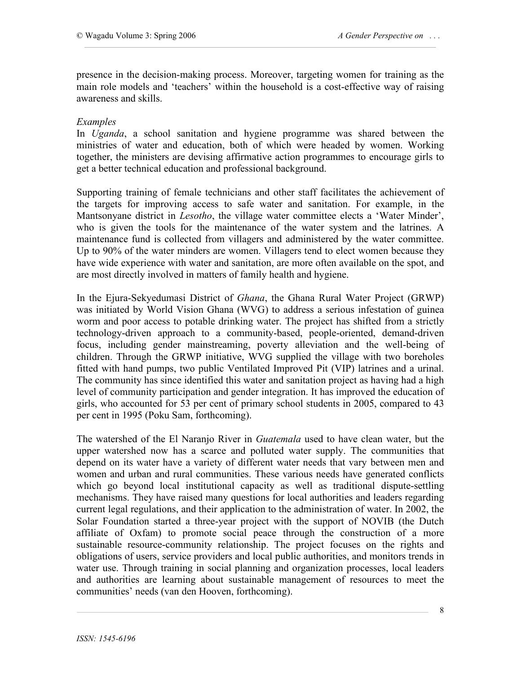presence in the decision-making process. Moreover, targeting women for training as the main role models and 'teachers' within the household is a cost-effective way of raising awareness and skills.

#### *Examples*

In *Uganda*, a school sanitation and hygiene programme was shared between the ministries of water and education, both of which were headed by women. Working together, the ministers are devising affirmative action programmes to encourage girls to get a better technical education and professional background.

Supporting training of female technicians and other staff facilitates the achievement of the targets for improving access to safe water and sanitation. For example, in the Mantsonyane district in *Lesotho*, the village water committee elects a 'Water Minder', who is given the tools for the maintenance of the water system and the latrines. A maintenance fund is collected from villagers and administered by the water committee. Up to 90% of the water minders are women. Villagers tend to elect women because they have wide experience with water and sanitation, are more often available on the spot, and are most directly involved in matters of family health and hygiene.

In the Ejura-Sekyedumasi District of *Ghana*, the Ghana Rural Water Project (GRWP) was initiated by World Vision Ghana (WVG) to address a serious infestation of guinea worm and poor access to potable drinking water. The project has shifted from a strictly technology-driven approach to a community-based, people-oriented, demand-driven focus, including gender mainstreaming, poverty alleviation and the well-being of children. Through the GRWP initiative, WVG supplied the village with two boreholes fitted with hand pumps, two public Ventilated Improved Pit (VIP) latrines and a urinal. The community has since identified this water and sanitation project as having had a high level of community participation and gender integration. It has improved the education of girls, who accounted for 53 per cent of primary school students in 2005, compared to 43 per cent in 1995 (Poku Sam, forthcoming).

The watershed of the El Naranjo River in *Guatemala* used to have clean water, but the upper watershed now has a scarce and polluted water supply. The communities that depend on its water have a variety of different water needs that vary between men and women and urban and rural communities. These various needs have generated conflicts which go beyond local institutional capacity as well as traditional dispute-settling mechanisms. They have raised many questions for local authorities and leaders regarding current legal regulations, and their application to the administration of water. In 2002, the Solar Foundation started a three-year project with the support of NOVIB (the Dutch affiliate of Oxfam) to promote social peace through the construction of a more sustainable resource-community relationship. The project focuses on the rights and obligations of users, service providers and local public authorities, and monitors trends in water use. Through training in social planning and organization processes, local leaders and authorities are learning about sustainable management of resources to meet the communities' needs (van den Hooven, forthcoming).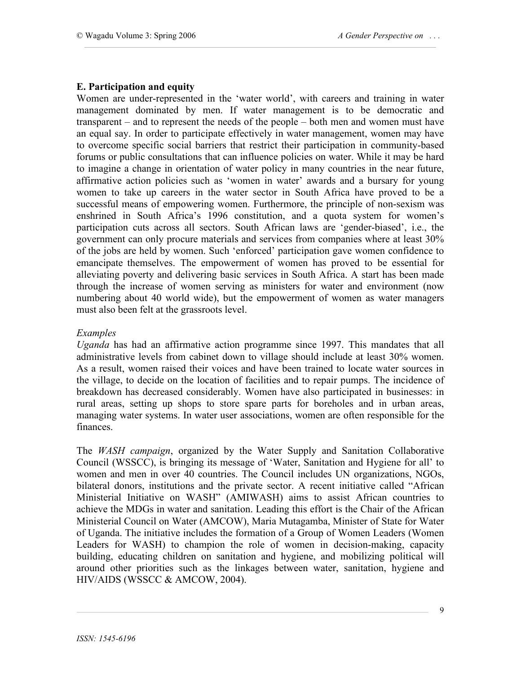## **E. Participation and equity**

Women are under-represented in the 'water world', with careers and training in water management dominated by men. If water management is to be democratic and transparent – and to represent the needs of the people – both men and women must have an equal say. In order to participate effectively in water management, women may have to overcome specific social barriers that restrict their participation in community-based forums or public consultations that can influence policies on water. While it may be hard to imagine a change in orientation of water policy in many countries in the near future, affirmative action policies such as 'women in water' awards and a bursary for young women to take up careers in the water sector in South Africa have proved to be a successful means of empowering women. Furthermore, the principle of non-sexism was enshrined in South Africa's 1996 constitution, and a quota system for women's participation cuts across all sectors. South African laws are 'gender-biased', i.e., the government can only procure materials and services from companies where at least 30% of the jobs are held by women. Such 'enforced' participation gave women confidence to emancipate themselves. The empowerment of women has proved to be essential for alleviating poverty and delivering basic services in South Africa. A start has been made through the increase of women serving as ministers for water and environment (now numbering about 40 world wide), but the empowerment of women as water managers must also been felt at the grassroots level.

#### *Examples*

*Uganda* has had an affirmative action programme since 1997. This mandates that all administrative levels from cabinet down to village should include at least 30% women. As a result, women raised their voices and have been trained to locate water sources in the village, to decide on the location of facilities and to repair pumps. The incidence of breakdown has decreased considerably. Women have also participated in businesses: in rural areas, setting up shops to store spare parts for boreholes and in urban areas, managing water systems. In water user associations, women are often responsible for the finances.

The *WASH campaign*, organized by the Water Supply and Sanitation Collaborative Council (WSSCC), is bringing its message of 'Water, Sanitation and Hygiene for all' to women and men in over 40 countries. The Council includes UN organizations, NGOs, bilateral donors, institutions and the private sector. A recent initiative called "African Ministerial Initiative on WASH" (AMIWASH) aims to assist African countries to achieve the MDGs in water and sanitation. Leading this effort is the Chair of the African Ministerial Council on Water (AMCOW), Maria Mutagamba, Minister of State for Water of Uganda. The initiative includes the formation of a Group of Women Leaders (Women Leaders for WASH) to champion the role of women in decision-making, capacity building, educating children on sanitation and hygiene, and mobilizing political will around other priorities such as the linkages between water, sanitation, hygiene and HIV/AIDS (WSSCC & AMCOW, 2004).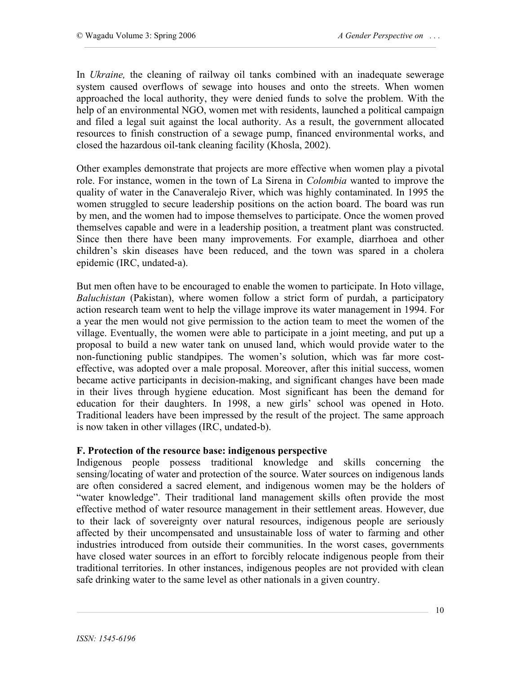In *Ukraine,* the cleaning of railway oil tanks combined with an inadequate sewerage system caused overflows of sewage into houses and onto the streets. When women approached the local authority, they were denied funds to solve the problem. With the help of an environmental NGO, women met with residents, launched a political campaign and filed a legal suit against the local authority. As a result, the government allocated resources to finish construction of a sewage pump, financed environmental works, and closed the hazardous oil-tank cleaning facility (Khosla, 2002).

Other examples demonstrate that projects are more effective when women play a pivotal role. For instance, women in the town of La Sirena in *Colombia* wanted to improve the quality of water in the Canaveralejo River, which was highly contaminated. In 1995 the women struggled to secure leadership positions on the action board. The board was run by men, and the women had to impose themselves to participate. Once the women proved themselves capable and were in a leadership position, a treatment plant was constructed. Since then there have been many improvements. For example, diarrhoea and other children's skin diseases have been reduced, and the town was spared in a cholera epidemic (IRC, undated-a).

But men often have to be encouraged to enable the women to participate. In Hoto village, *Baluchistan* (Pakistan), where women follow a strict form of purdah, a participatory action research team went to help the village improve its water management in 1994. For a year the men would not give permission to the action team to meet the women of the village. Eventually, the women were able to participate in a joint meeting, and put up a proposal to build a new water tank on unused land, which would provide water to the non-functioning public standpipes. The women's solution, which was far more costeffective, was adopted over a male proposal. Moreover, after this initial success, women became active participants in decision-making, and significant changes have been made in their lives through hygiene education. Most significant has been the demand for education for their daughters. In 1998, a new girls' school was opened in Hoto. Traditional leaders have been impressed by the result of the project. The same approach is now taken in other villages (IRC, undated-b).

## **F. Protection of the resource base: indigenous perspective**

Indigenous people possess traditional knowledge and skills concerning the sensing/locating of water and protection of the source. Water sources on indigenous lands are often considered a sacred element, and indigenous women may be the holders of "water knowledge". Their traditional land management skills often provide the most effective method of water resource management in their settlement areas. However, due to their lack of sovereignty over natural resources, indigenous people are seriously affected by their uncompensated and unsustainable loss of water to farming and other industries introduced from outside their communities. In the worst cases, governments have closed water sources in an effort to forcibly relocate indigenous people from their traditional territories. In other instances, indigenous peoples are not provided with clean safe drinking water to the same level as other nationals in a given country.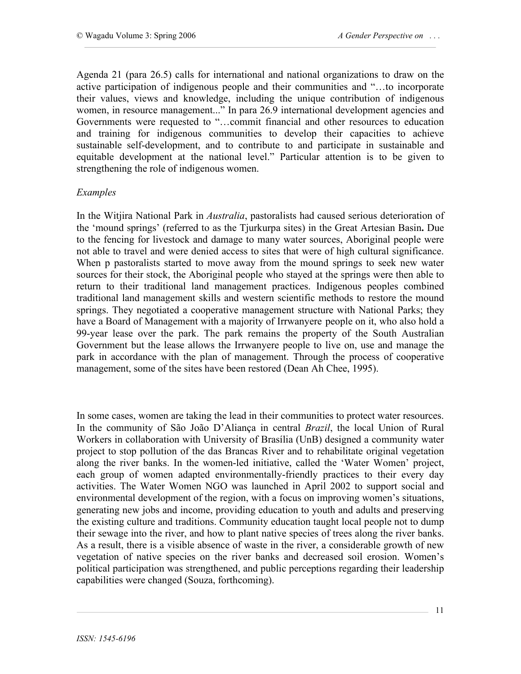Agenda 21 (para 26.5) calls for international and national organizations to draw on the active participation of indigenous people and their communities and "…to incorporate their values, views and knowledge, including the unique contribution of indigenous women, in resource management..." In para 26.9 international development agencies and Governments were requested to "…commit financial and other resources to education and training for indigenous communities to develop their capacities to achieve sustainable self-development, and to contribute to and participate in sustainable and equitable development at the national level." Particular attention is to be given to strengthening the role of indigenous women.

#### *Examples*

In the Witjira National Park in *Australia*, pastoralists had caused serious deterioration of the 'mound springs' (referred to as the Tjurkurpa sites) in the Great Artesian Basin**.** Due to the fencing for livestock and damage to many water sources, Aboriginal people were not able to travel and were denied access to sites that were of high cultural significance. When p pastoralists started to move away from the mound springs to seek new water sources for their stock, the Aboriginal people who stayed at the springs were then able to return to their traditional land management practices. Indigenous peoples combined traditional land management skills and western scientific methods to restore the mound springs. They negotiated a cooperative management structure with National Parks; they have a Board of Management with a majority of Irrwanyere people on it, who also hold a 99-year lease over the park. The park remains the property of the South Australian Government but the lease allows the Irrwanyere people to live on, use and manage the park in accordance with the plan of management. Through the process of cooperative management, some of the sites have been restored (Dean Ah Chee, 1995).

In some cases, women are taking the lead in their communities to protect water resources. In the community of São João D'Aliança in central *Brazil*, the local Union of Rural Workers in collaboration with University of Brasília (UnB) designed a community water project to stop pollution of the das Brancas River and to rehabilitate original vegetation along the river banks. In the women-led initiative, called the 'Water Women' project, each group of women adapted environmentally-friendly practices to their every day activities. The Water Women NGO was launched in April 2002 to support social and environmental development of the region, with a focus on improving women's situations, generating new jobs and income, providing education to youth and adults and preserving the existing culture and traditions. Community education taught local people not to dump their sewage into the river, and how to plant native species of trees along the river banks. As a result, there is a visible absence of waste in the river, a considerable growth of new vegetation of native species on the river banks and decreased soil erosion. Women's political participation was strengthened, and public perceptions regarding their leadership capabilities were changed (Souza, forthcoming).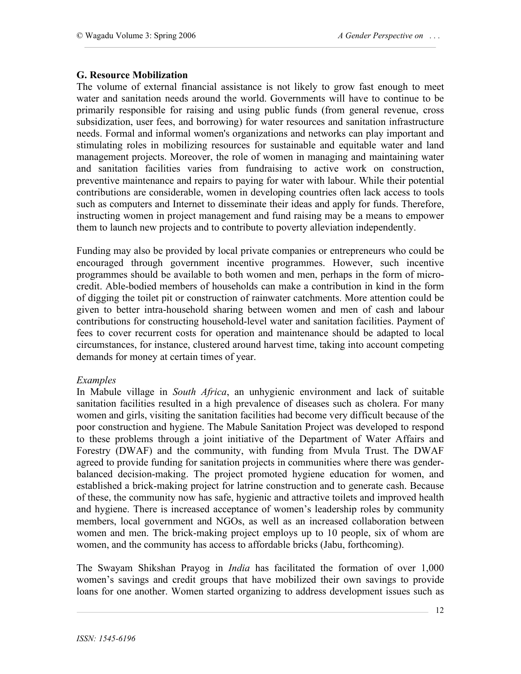## **G. Resource Mobilization**

The volume of external financial assistance is not likely to grow fast enough to meet water and sanitation needs around the world. Governments will have to continue to be primarily responsible for raising and using public funds (from general revenue, cross subsidization, user fees, and borrowing) for water resources and sanitation infrastructure needs. Formal and informal women's organizations and networks can play important and stimulating roles in mobilizing resources for sustainable and equitable water and land management projects. Moreover, the role of women in managing and maintaining water and sanitation facilities varies from fundraising to active work on construction, preventive maintenance and repairs to paying for water with labour. While their potential contributions are considerable, women in developing countries often lack access to tools such as computers and Internet to disseminate their ideas and apply for funds. Therefore, instructing women in project management and fund raising may be a means to empower them to launch new projects and to contribute to poverty alleviation independently.

Funding may also be provided by local private companies or entrepreneurs who could be encouraged through government incentive programmes. However, such incentive programmes should be available to both women and men, perhaps in the form of microcredit. Able-bodied members of households can make a contribution in kind in the form of digging the toilet pit or construction of rainwater catchments. More attention could be given to better intra-household sharing between women and men of cash and labour contributions for constructing household-level water and sanitation facilities. Payment of fees to cover recurrent costs for operation and maintenance should be adapted to local circumstances, for instance, clustered around harvest time, taking into account competing demands for money at certain times of year.

#### *Examples*

In Mabule village in *South Africa*, an unhygienic environment and lack of suitable sanitation facilities resulted in a high prevalence of diseases such as cholera. For many women and girls, visiting the sanitation facilities had become very difficult because of the poor construction and hygiene. The Mabule Sanitation Project was developed to respond to these problems through a joint initiative of the Department of Water Affairs and Forestry (DWAF) and the community, with funding from Mvula Trust. The DWAF agreed to provide funding for sanitation projects in communities where there was genderbalanced decision-making. The project promoted hygiene education for women, and established a brick-making project for latrine construction and to generate cash. Because of these, the community now has safe, hygienic and attractive toilets and improved health and hygiene. There is increased acceptance of women's leadership roles by community members, local government and NGOs, as well as an increased collaboration between women and men. The brick-making project employs up to 10 people, six of whom are women, and the community has access to affordable bricks (Jabu, forthcoming).

The Swayam Shikshan Prayog in *India* has facilitated the formation of over 1,000 women's savings and credit groups that have mobilized their own savings to provide loans for one another. Women started organizing to address development issues such as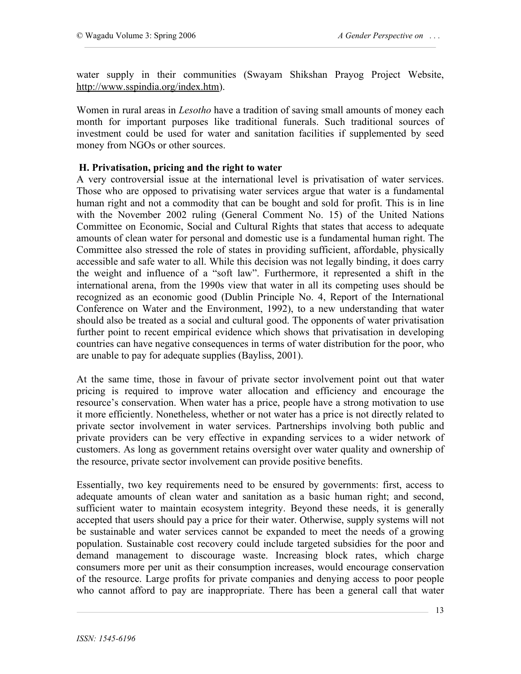water supply in their communities (Swayam Shikshan Prayog Project Website, http://www.sspindia.org/index.htm).

Women in rural areas in *Lesotho* have a tradition of saving small amounts of money each month for important purposes like traditional funerals. Such traditional sources of investment could be used for water and sanitation facilities if supplemented by seed money from NGOs or other sources.

#### **H. Privatisation, pricing and the right to water**

A very controversial issue at the international level is privatisation of water services. Those who are opposed to privatising water services argue that water is a fundamental human right and not a commodity that can be bought and sold for profit. This is in line with the November 2002 ruling (General Comment No. 15) of the United Nations Committee on Economic, Social and Cultural Rights that states that access to adequate amounts of clean water for personal and domestic use is a fundamental human right. The Committee also stressed the role of states in providing sufficient, affordable, physically accessible and safe water to all. While this decision was not legally binding, it does carry the weight and influence of a "soft law". Furthermore, it represented a shift in the international arena, from the 1990s view that water in all its competing uses should be recognized as an economic good (Dublin Principle No. 4, Report of the International Conference on Water and the Environment, 1992), to a new understanding that water should also be treated as a social and cultural good. The opponents of water privatisation further point to recent empirical evidence which shows that privatisation in developing countries can have negative consequences in terms of water distribution for the poor, who are unable to pay for adequate supplies (Bayliss, 2001).

At the same time, those in favour of private sector involvement point out that water pricing is required to improve water allocation and efficiency and encourage the resource's conservation. When water has a price, people have a strong motivation to use it more efficiently. Nonetheless, whether or not water has a price is not directly related to private sector involvement in water services. Partnerships involving both public and private providers can be very effective in expanding services to a wider network of customers. As long as government retains oversight over water quality and ownership of the resource, private sector involvement can provide positive benefits.

Essentially, two key requirements need to be ensured by governments: first, access to adequate amounts of clean water and sanitation as a basic human right; and second, sufficient water to maintain ecosystem integrity. Beyond these needs, it is generally accepted that users should pay a price for their water. Otherwise, supply systems will not be sustainable and water services cannot be expanded to meet the needs of a growing population. Sustainable cost recovery could include targeted subsidies for the poor and demand management to discourage waste. Increasing block rates, which charge consumers more per unit as their consumption increases, would encourage conservation of the resource. Large profits for private companies and denying access to poor people who cannot afford to pay are inappropriate. There has been a general call that water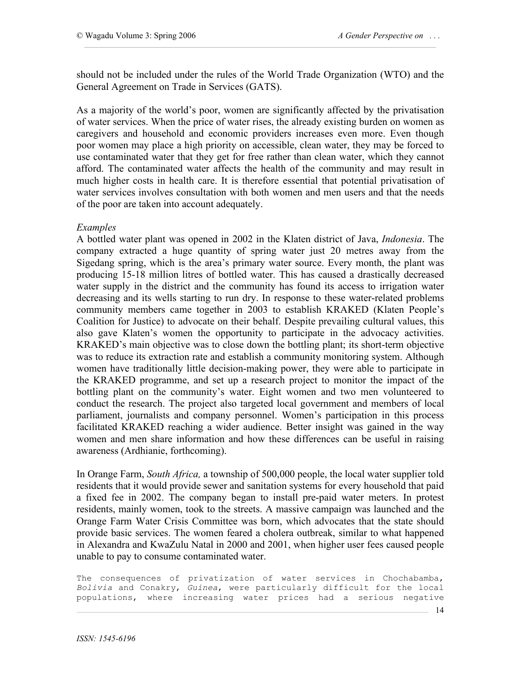should not be included under the rules of the World Trade Organization (WTO) and the General Agreement on Trade in Services (GATS).

As a majority of the world's poor, women are significantly affected by the privatisation of water services. When the price of water rises, the already existing burden on women as caregivers and household and economic providers increases even more. Even though poor women may place a high priority on accessible, clean water, they may be forced to use contaminated water that they get for free rather than clean water, which they cannot afford. The contaminated water affects the health of the community and may result in much higher costs in health care. It is therefore essential that potential privatisation of water services involves consultation with both women and men users and that the needs of the poor are taken into account adequately.

#### *Examples*

A bottled water plant was opened in 2002 in the Klaten district of Java, *Indonesia*. The company extracted a huge quantity of spring water just 20 metres away from the Sigedang spring, which is the area's primary water source. Every month, the plant was producing 15-18 million litres of bottled water. This has caused a drastically decreased water supply in the district and the community has found its access to irrigation water decreasing and its wells starting to run dry. In response to these water-related problems community members came together in 2003 to establish KRAKED (Klaten People's Coalition for Justice) to advocate on their behalf. Despite prevailing cultural values, this also gave Klaten's women the opportunity to participate in the advocacy activities. KRAKED's main objective was to close down the bottling plant; its short-term objective was to reduce its extraction rate and establish a community monitoring system. Although women have traditionally little decision-making power, they were able to participate in the KRAKED programme, and set up a research project to monitor the impact of the bottling plant on the community's water. Eight women and two men volunteered to conduct the research. The project also targeted local government and members of local parliament, journalists and company personnel. Women's participation in this process facilitated KRAKED reaching a wider audience. Better insight was gained in the way women and men share information and how these differences can be useful in raising awareness (Ardhianie, forthcoming).

In Orange Farm, *South Africa,* a township of 500,000 people, the local water supplier told residents that it would provide sewer and sanitation systems for every household that paid a fixed fee in 2002. The company began to install pre-paid water meters. In protest residents, mainly women, took to the streets. A massive campaign was launched and the Orange Farm Water Crisis Committee was born, which advocates that the state should provide basic services. The women feared a cholera outbreak, similar to what happened in Alexandra and KwaZulu Natal in 2000 and 2001, when higher user fees caused people unable to pay to consume contaminated water.

The consequences of privatization of water services in Chochabamba, *Bolivia* and Conakry, *Guinea*, were particularly difficult for the local populations, where increasing water prices had a serious negative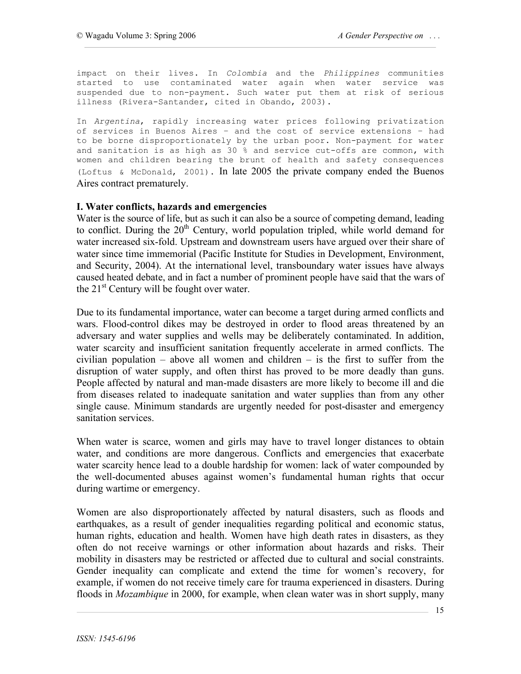impact on their lives. In *Colombia* and the *Philippines* communities started to use contaminated water again when water service was suspended due to non-payment. Such water put them at risk of serious illness (Rivera-Santander, cited in Obando, 2003).

In *Argentina*, rapidly increasing water prices following privatization of services in Buenos Aires – and the cost of service extensions – had to be borne disproportionately by the urban poor. Non-payment for water and sanitation is as high as 30 % and service cut-offs are common, with women and children bearing the brunt of health and safety consequences (Loftus & McDonald, 2001). In late 2005 the private company ended the Buenos Aires contract prematurely.

#### **I. Water conflicts, hazards and emergencies**

Water is the source of life, but as such it can also be a source of competing demand, leading to conflict. During the  $20<sup>th</sup>$  Century, world population tripled, while world demand for water increased six-fold. Upstream and downstream users have argued over their share of water since time immemorial (Pacific Institute for Studies in Development, Environment, and Security, 2004). At the international level, transboundary water issues have always caused heated debate, and in fact a number of prominent people have said that the wars of the  $21<sup>st</sup>$  Century will be fought over water.

Due to its fundamental importance, water can become a target during armed conflicts and wars. Flood-control dikes may be destroyed in order to flood areas threatened by an adversary and water supplies and wells may be deliberately contaminated. In addition, water scarcity and insufficient sanitation frequently accelerate in armed conflicts. The civilian population – above all women and children – is the first to suffer from the disruption of water supply, and often thirst has proved to be more deadly than guns. People affected by natural and man-made disasters are more likely to become ill and die from diseases related to inadequate sanitation and water supplies than from any other single cause. Minimum standards are urgently needed for post-disaster and emergency sanitation services.

When water is scarce, women and girls may have to travel longer distances to obtain water, and conditions are more dangerous. Conflicts and emergencies that exacerbate water scarcity hence lead to a double hardship for women: lack of water compounded by the well-documented abuses against women's fundamental human rights that occur during wartime or emergency.

Women are also disproportionately affected by natural disasters, such as floods and earthquakes, as a result of gender inequalities regarding political and economic status, human rights, education and health. Women have high death rates in disasters, as they often do not receive warnings or other information about hazards and risks. Their mobility in disasters may be restricted or affected due to cultural and social constraints. Gender inequality can complicate and extend the time for women's recovery, for example, if women do not receive timely care for trauma experienced in disasters. During floods in *Mozambique* in 2000, for example, when clean water was in short supply, many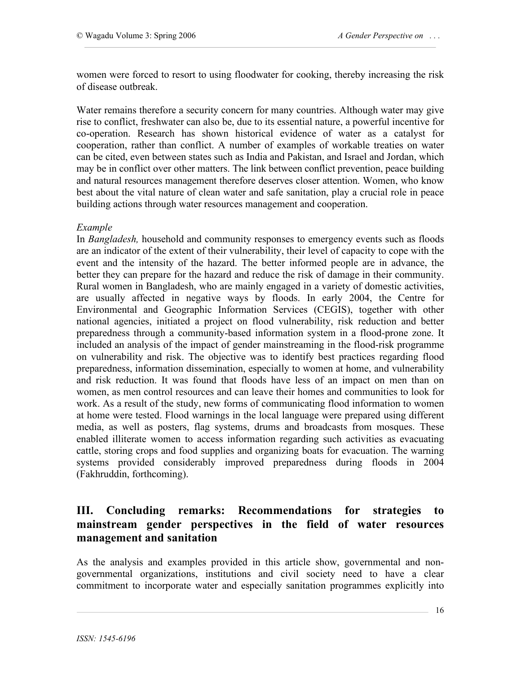women were forced to resort to using floodwater for cooking, thereby increasing the risk of disease outbreak.

Water remains therefore a security concern for many countries. Although water may give rise to conflict, freshwater can also be, due to its essential nature, a powerful incentive for co-operation. Research has shown historical evidence of water as a catalyst for cooperation, rather than conflict. A number of examples of workable treaties on water can be cited, even between states such as India and Pakistan, and Israel and Jordan, which may be in conflict over other matters. The link between conflict prevention, peace building and natural resources management therefore deserves closer attention. Women, who know best about the vital nature of clean water and safe sanitation, play a crucial role in peace building actions through water resources management and cooperation.

#### *Example*

In *Bangladesh,* household and community responses to emergency events such as floods are an indicator of the extent of their vulnerability, their level of capacity to cope with the event and the intensity of the hazard. The better informed people are in advance, the better they can prepare for the hazard and reduce the risk of damage in their community. Rural women in Bangladesh, who are mainly engaged in a variety of domestic activities, are usually affected in negative ways by floods. In early 2004, the Centre for Environmental and Geographic Information Services (CEGIS), together with other national agencies, initiated a project on flood vulnerability, risk reduction and better preparedness through a community-based information system in a flood-prone zone. It included an analysis of the impact of gender mainstreaming in the flood-risk programme on vulnerability and risk. The objective was to identify best practices regarding flood preparedness, information dissemination, especially to women at home, and vulnerability and risk reduction. It was found that floods have less of an impact on men than on women, as men control resources and can leave their homes and communities to look for work. As a result of the study, new forms of communicating flood information to women at home were tested. Flood warnings in the local language were prepared using different media, as well as posters, flag systems, drums and broadcasts from mosques. These enabled illiterate women to access information regarding such activities as evacuating cattle, storing crops and food supplies and organizing boats for evacuation. The warning systems provided considerably improved preparedness during floods in 2004 (Fakhruddin, forthcoming).

# **III. Concluding remarks: Recommendations for strategies to mainstream gender perspectives in the field of water resources management and sanitation**

As the analysis and examples provided in this article show, governmental and nongovernmental organizations, institutions and civil society need to have a clear commitment to incorporate water and especially sanitation programmes explicitly into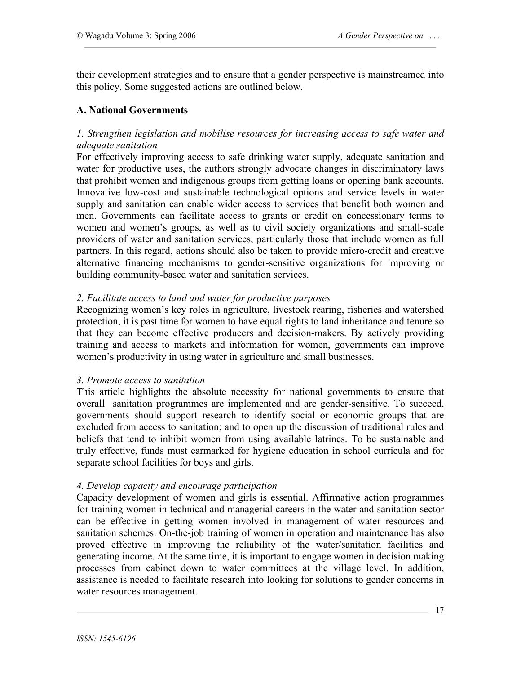their development strategies and to ensure that a gender perspective is mainstreamed into this policy. Some suggested actions are outlined below.

## **A. National Governments**

## *1. Strengthen legislation and mobilise resources for increasing access to safe water and adequate sanitation*

For effectively improving access to safe drinking water supply, adequate sanitation and water for productive uses, the authors strongly advocate changes in discriminatory laws that prohibit women and indigenous groups from getting loans or opening bank accounts. Innovative low-cost and sustainable technological options and service levels in water supply and sanitation can enable wider access to services that benefit both women and men. Governments can facilitate access to grants or credit on concessionary terms to women and women's groups, as well as to civil society organizations and small-scale providers of water and sanitation services, particularly those that include women as full partners. In this regard, actions should also be taken to provide micro-credit and creative alternative financing mechanisms to gender-sensitive organizations for improving or building community-based water and sanitation services.

## *2. Facilitate access to land and water for productive purposes*

Recognizing women's key roles in agriculture, livestock rearing, fisheries and watershed protection, it is past time for women to have equal rights to land inheritance and tenure so that they can become effective producers and decision-makers. By actively providing training and access to markets and information for women, governments can improve women's productivity in using water in agriculture and small businesses.

#### *3. Promote access to sanitation*

This article highlights the absolute necessity for national governments to ensure that overall sanitation programmes are implemented and are gender-sensitive. To succeed, governments should support research to identify social or economic groups that are excluded from access to sanitation; and to open up the discussion of traditional rules and beliefs that tend to inhibit women from using available latrines. To be sustainable and truly effective, funds must earmarked for hygiene education in school curricula and for separate school facilities for boys and girls.

#### *4. Develop capacity and encourage participation*

Capacity development of women and girls is essential. Affirmative action programmes for training women in technical and managerial careers in the water and sanitation sector can be effective in getting women involved in management of water resources and sanitation schemes. On-the-job training of women in operation and maintenance has also proved effective in improving the reliability of the water/sanitation facilities and generating income. At the same time, it is important to engage women in decision making processes from cabinet down to water committees at the village level. In addition, assistance is needed to facilitate research into looking for solutions to gender concerns in water resources management.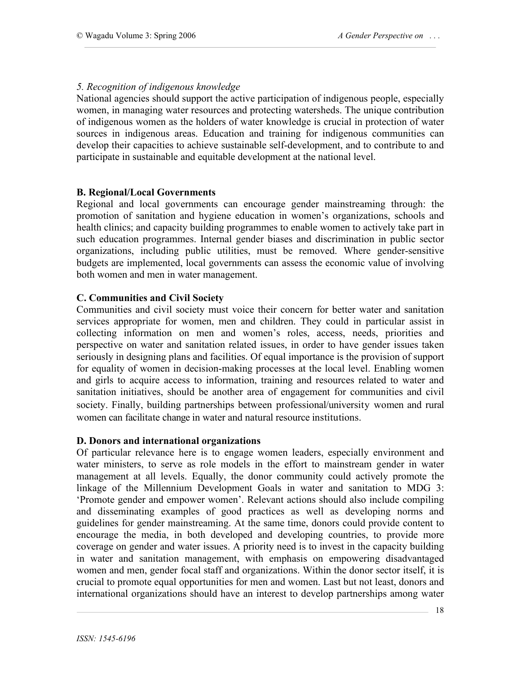## *5. Recognition of indigenous knowledge*

National agencies should support the active participation of indigenous people, especially women, in managing water resources and protecting watersheds. The unique contribution of indigenous women as the holders of water knowledge is crucial in protection of water sources in indigenous areas. Education and training for indigenous communities can develop their capacities to achieve sustainable self-development, and to contribute to and participate in sustainable and equitable development at the national level.

## **B. Regional/Local Governments**

Regional and local governments can encourage gender mainstreaming through: the promotion of sanitation and hygiene education in women's organizations, schools and health clinics; and capacity building programmes to enable women to actively take part in such education programmes. Internal gender biases and discrimination in public sector organizations, including public utilities, must be removed. Where gender-sensitive budgets are implemented, local governments can assess the economic value of involving both women and men in water management.

## **C. Communities and Civil Society**

Communities and civil society must voice their concern for better water and sanitation services appropriate for women, men and children. They could in particular assist in collecting information on men and women's roles, access, needs, priorities and perspective on water and sanitation related issues, in order to have gender issues taken seriously in designing plans and facilities. Of equal importance is the provision of support for equality of women in decision-making processes at the local level. Enabling women and girls to acquire access to information, training and resources related to water and sanitation initiatives, should be another area of engagement for communities and civil society. Finally, building partnerships between professional/university women and rural women can facilitate change in water and natural resource institutions.

#### **D. Donors and international organizations**

Of particular relevance here is to engage women leaders, especially environment and water ministers, to serve as role models in the effort to mainstream gender in water management at all levels. Equally, the donor community could actively promote the linkage of the Millennium Development Goals in water and sanitation to MDG 3: 'Promote gender and empower women'. Relevant actions should also include compiling and disseminating examples of good practices as well as developing norms and guidelines for gender mainstreaming. At the same time, donors could provide content to encourage the media, in both developed and developing countries, to provide more coverage on gender and water issues. A priority need is to invest in the capacity building in water and sanitation management, with emphasis on empowering disadvantaged women and men, gender focal staff and organizations. Within the donor sector itself, it is crucial to promote equal opportunities for men and women. Last but not least, donors and international organizations should have an interest to develop partnerships among water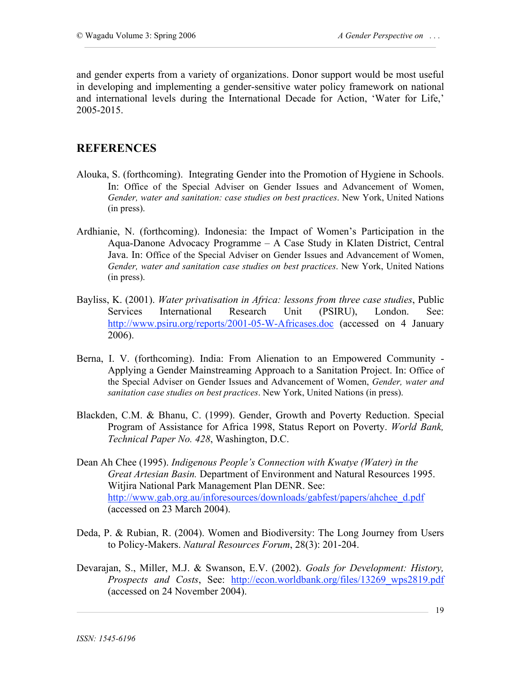and gender experts from a variety of organizations. Donor support would be most useful in developing and implementing a gender-sensitive water policy framework on national and international levels during the International Decade for Action, 'Water for Life,' 2005-2015.

## **REFERENCES**

- Alouka, S. (forthcoming). Integrating Gender into the Promotion of Hygiene in Schools. In: Office of the Special Adviser on Gender Issues and Advancement of Women, *Gender, water and sanitation: case studies on best practices*. New York, United Nations (in press).
- Ardhianie, N. (forthcoming). Indonesia: the Impact of Women's Participation in the Aqua-Danone Advocacy Programme – A Case Study in Klaten District, Central Java. In: Office of the Special Adviser on Gender Issues and Advancement of Women, *Gender, water and sanitation case studies on best practices*. New York, United Nations (in press).
- Bayliss, K. (2001). *Water privatisation in Africa: lessons from three case studies*, Public Services International Research Unit (PSIRU), London. See: http://www.psiru.org/reports/2001-05-W-Africases.doc (accessed on 4 January 2006).
- Berna, I. V. (forthcoming). India: From Alienation to an Empowered Community Applying a Gender Mainstreaming Approach to a Sanitation Project. In: Office of the Special Adviser on Gender Issues and Advancement of Women, *Gender, water and sanitation case studies on best practices*. New York, United Nations (in press).
- Blackden, C.M. & Bhanu, C. (1999). Gender, Growth and Poverty Reduction. Special Program of Assistance for Africa 1998, Status Report on Poverty. *World Bank, Technical Paper No. 428*, Washington, D.C.
- Dean Ah Chee (1995). *Indigenous People's Connection with Kwatye (Water) in the Great Artesian Basin.* Department of Environment and Natural Resources 1995. Witjira National Park Management Plan DENR. See: http://www.gab.org.au/inforesources/downloads/gabfest/papers/ahchee\_d.pdf (accessed on 23 March 2004).
- Deda, P. & Rubian, R. (2004). Women and Biodiversity: The Long Journey from Users to Policy-Makers. *Natural Resources Forum*, 28(3): 201-204.
- Devarajan, S., Miller, M.J. & Swanson, E.V. (2002). *Goals for Development: History, Prospects and Costs*, See: http://econ.worldbank.org/files/13269\_wps2819.pdf (accessed on 24 November 2004).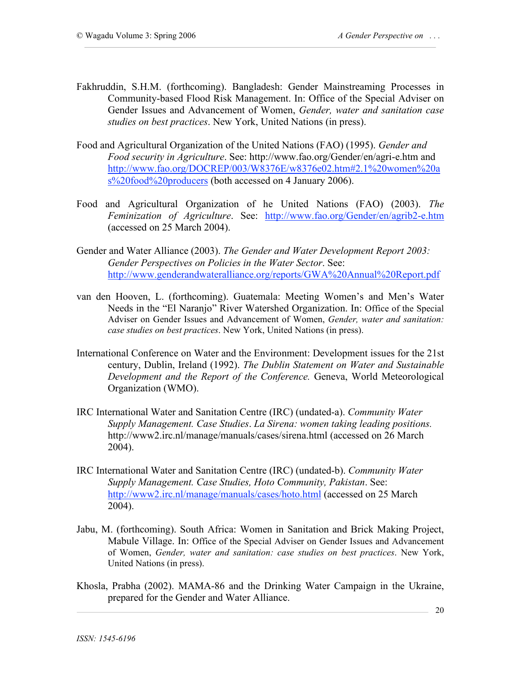- Fakhruddin, S.H.M. (forthcoming). Bangladesh: Gender Mainstreaming Processes in Community-based Flood Risk Management. In: Office of the Special Adviser on Gender Issues and Advancement of Women, *Gender, water and sanitation case studies on best practices*. New York, United Nations (in press).
- Food and Agricultural Organization of the United Nations (FAO) (1995). *Gender and Food security in Agriculture*. See: http://www.fao.org/Gender/en/agri-e.htm and http://www.fao.org/DOCREP/003/W8376E/w8376e02.htm#2.1%20women%20a s%20food%20producers (both accessed on 4 January 2006).
- Food and Agricultural Organization of he United Nations (FAO) (2003). *The Feminization of Agriculture*. See: http://www.fao.org/Gender/en/agrib2-e.htm (accessed on 25 March 2004).
- Gender and Water Alliance (2003). *The Gender and Water Development Report 2003: Gender Perspectives on Policies in the Water Sector*. See: http://www.genderandwateralliance.org/reports/GWA%20Annual%20Report.pdf
- van den Hooven, L. (forthcoming). Guatemala: Meeting Women's and Men's Water Needs in the "El Naranjo" River Watershed Organization. In: Office of the Special Adviser on Gender Issues and Advancement of Women, *Gender, water and sanitation: case studies on best practices*. New York, United Nations (in press).
- International Conference on Water and the Environment: Development issues for the 21st century, Dublin, Ireland (1992). *The Dublin Statement on Water and Sustainable Development and the Report of the Conference.* Geneva, World Meteorological Organization (WMO).
- IRC International Water and Sanitation Centre (IRC) (undated-a). *Community Water Supply Management. Case Studies*. *La Sirena: women taking leading positions.* http://www2.irc.nl/manage/manuals/cases/sirena.html (accessed on 26 March 2004).
- IRC International Water and Sanitation Centre (IRC) (undated-b). *Community Water Supply Management. Case Studies, Hoto Community, Pakistan*. See: http://www2.irc.nl/manage/manuals/cases/hoto.html (accessed on 25 March 2004).
- Jabu, M. (forthcoming). South Africa: Women in Sanitation and Brick Making Project, Mabule Village. In: Office of the Special Adviser on Gender Issues and Advancement of Women, *Gender, water and sanitation: case studies on best practices*. New York, United Nations (in press).
- Khosla, Prabha (2002). MAMA-86 and the Drinking Water Campaign in the Ukraine, prepared for the Gender and Water Alliance.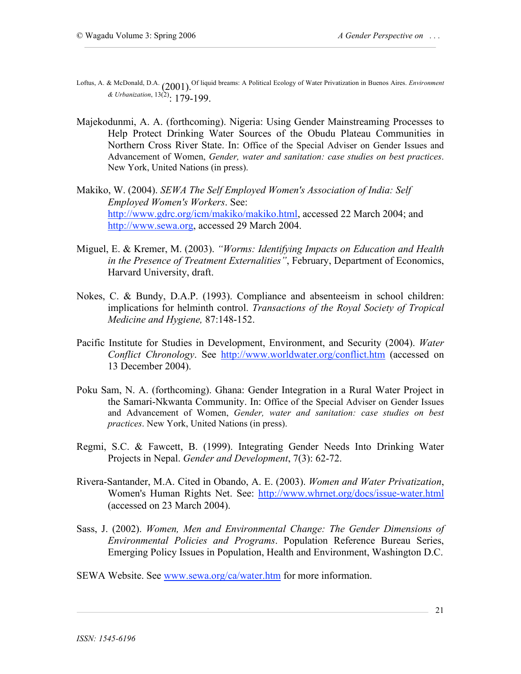- Loftus, A. & McDonald, D.A. (2001). Of liquid breams: A Political Ecology of Water Privatization in Buenos Aires. *Environment & Urbanization*, 13(2): 179-199.
- Majekodunmi, A. A. (forthcoming). Nigeria: Using Gender Mainstreaming Processes to Help Protect Drinking Water Sources of the Obudu Plateau Communities in Northern Cross River State. In: Office of the Special Adviser on Gender Issues and Advancement of Women, *Gender, water and sanitation: case studies on best practices*. New York, United Nations (in press).
- Makiko, W. (2004). *SEWA The Self Employed Women's Association of India: Self Employed Women's Workers*. See: http://www.gdrc.org/icm/makiko/makiko.html, accessed 22 March 2004; and http://www.sewa.org, accessed 29 March 2004.
- Miguel, E. & Kremer, M. (2003). *"Worms: Identifying Impacts on Education and Health in the Presence of Treatment Externalities"*, February, Department of Economics, Harvard University, draft.
- Nokes, C. & Bundy, D.A.P. (1993). Compliance and absenteeism in school children: implications for helminth control. *Transactions of the Royal Society of Tropical Medicine and Hygiene,* 87:148-152.
- Pacific Institute for Studies in Development, Environment, and Security (2004). *Water Conflict Chronology*. See http://www.worldwater.org/conflict.htm (accessed on 13 December 2004).
- Poku Sam, N. A. (forthcoming). Ghana: Gender Integration in a Rural Water Project in the Samari-Nkwanta Community. In: Office of the Special Adviser on Gender Issues and Advancement of Women, *Gender, water and sanitation: case studies on best practices*. New York, United Nations (in press).
- Regmi, S.C. & Fawcett, B. (1999). Integrating Gender Needs Into Drinking Water Projects in Nepal. *Gender and Development*, 7(3): 62-72.
- Rivera-Santander, M.A. Cited in Obando, A. E. (2003). *Women and Water Privatization*, Women's Human Rights Net. See: http://www.whrnet.org/docs/issue-water.html (accessed on 23 March 2004).
- Sass, J. (2002). *Women, Men and Environmental Change: The Gender Dimensions of Environmental Policies and Programs*. Population Reference Bureau Series, Emerging Policy Issues in Population, Health and Environment, Washington D.C.
- SEWA Website. See www.sewa.org/ca/water.htm for more information.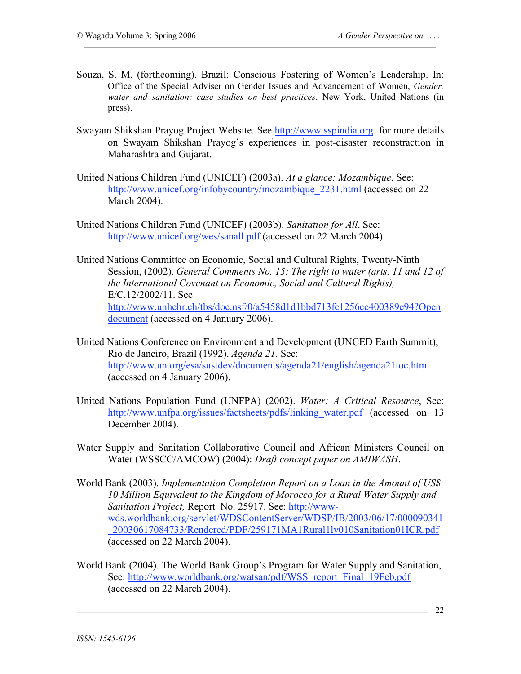- Souza, S. M. (forthcoming). Brazil: Conscious Fostering of Women's Leadership. In: Office of the Special Adviser on Gender Issues and Advancement of Women, *Gender, water and sanitation: case studies on best practices*. New York, United Nations (in press).
- Swayam Shikshan Prayog Project Website. See http://www.sspindia.org for more details on Swayam Shikshan Prayog's experiences in post-disaster reconstraction in Maharashtra and Gujarat.
- United Nations Children Fund (UNICEF) (2003a). *At a glance: Mozambique*. See: http://www.unicef.org/infobycountry/mozambique\_2231.html (accessed on 22 March 2004).
- United Nations Children Fund (UNICEF) (2003b). *Sanitation for All*. See: http://www.unicef.org/wes/sanall.pdf (accessed on 22 March 2004).
- United Nations Committee on Economic, Social and Cultural Rights, Twenty-Ninth Session, (2002). *General Comments No. 15: The right to water (arts. 11 and 12 of the International Covenant on Economic, Social and Cultural Rights),* E/C.12/2002/11. See http://www.unhchr.ch/tbs/doc.nsf/0/a5458d1d1bbd713fc1256cc400389e94?Open document (accessed on 4 January 2006).
- United Nations Conference on Environment and Development (UNCED Earth Summit), Rio de Janeiro, Brazil (1992). *Agenda 21.* See: http://www.un.org/esa/sustdev/documents/agenda21/english/agenda21toc.htm (accessed on 4 January 2006).
- United Nations Population Fund (UNFPA) (2002). *Water: A Critical Resource*, See: http://www.unfpa.org/issues/factsheets/pdfs/linking\_water.pdf (accessed on 13 December 2004).
- Water Supply and Sanitation Collaborative Council and African Ministers Council on Water (WSSCC/AMCOW) (2004): *Draft concept paper on AMIWASH*.
- World Bank (2003). *Implementation Completion Report on a Loan in the Amount of US\$ 10 Million Equivalent to the Kingdom of Morocco for a Rural Water Supply and Sanitation Project,* Report No. 25917. See: http://wwwwds.worldbank.org/servlet/WDSContentServer/WDSP/IB/2003/06/17/000090341 \_20030617084733/Rendered/PDF/259171MA1Rural1ly010Sanitation01ICR.pdf (accessed on 22 March 2004).
- World Bank (2004). The World Bank Group's Program for Water Supply and Sanitation, See: http://www.worldbank.org/watsan/pdf/WSS\_report\_Final\_19Feb.pdf (accessed on 22 March 2004).

22